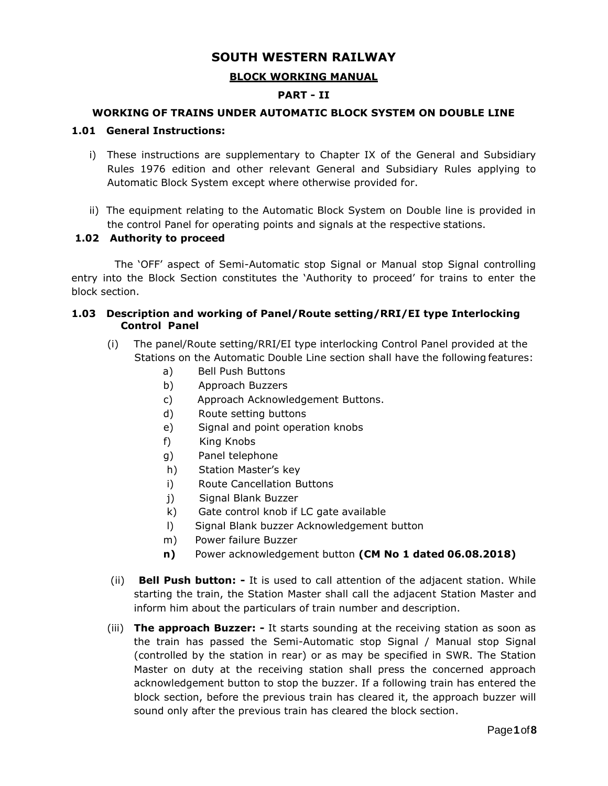# **SOUTH WESTERN RAILWAY**

## **BLOCK WORKING MANUAL**

## **PART - II**

#### **WORKING OF TRAINS UNDER AUTOMATIC BLOCK SYSTEM ON DOUBLE LINE**

### **1.01 General Instructions:**

- i) These instructions are supplementary to Chapter IX of the General and Subsidiary Rules 1976 edition and other relevant General and Subsidiary Rules applying to Automatic Block System except where otherwise provided for.
- ii) The equipment relating to the Automatic Block System on Double line is provided in the control Panel for operating points and signals at the respective stations.

#### **1.02 Authority to proceed**

The 'OFF' aspect of Semi-Automatic stop Signal or Manual stop Signal controlling entry into the Block Section constitutes the 'Authority to proceed' for trains to enter the block section.

### **1.03 Description and working of Panel/Route setting/RRI/EI type Interlocking Control Panel**

- (i) The panel/Route setting/RRI/EI type interlocking Control Panel provided at the Stations on the Automatic Double Line section shall have the following features:
	- a) Bell Push Buttons
	- b) Approach Buzzers
	- c) Approach Acknowledgement Buttons.
	- d) Route setting buttons
	- e) Signal and point operation knobs
	- f) King Knobs
	- g) Panel telephone
	- h) Station Master's key
	- i) Route Cancellation Buttons
	- j) Signal Blank Buzzer
	- k) Gate control knob if LC gate available
	- l) Signal Blank buzzer Acknowledgement button
	- m) Power failure Buzzer
	- **n)** Power acknowledgement button **(CM No 1 dated 06.08.2018)**
- (ii) **Bell Push button: -** It is used to call attention of the adjacent station. While starting the train, the Station Master shall call the adjacent Station Master and inform him about the particulars of train number and description.
- (iii) **The approach Buzzer: -** It starts sounding at the receiving station as soon as the train has passed the Semi-Automatic stop Signal / Manual stop Signal (controlled by the station in rear) or as may be specified in SWR. The Station Master on duty at the receiving station shall press the concerned approach acknowledgement button to stop the buzzer. If a following train has entered the block section, before the previous train has cleared it, the approach buzzer will sound only after the previous train has cleared the block section.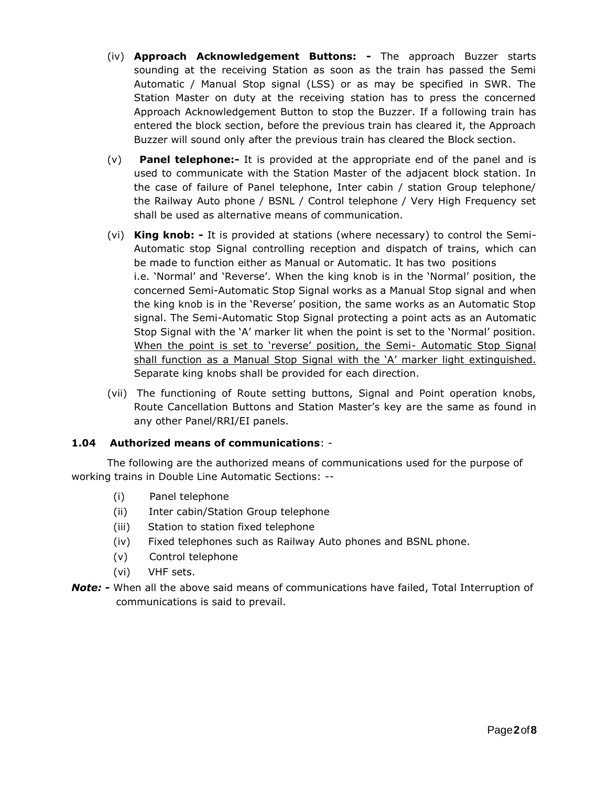- (iv) **Approach Acknowledgement Buttons: -** The approach Buzzer starts sounding at the receiving Station as soon as the train has passed the Semi Automatic / Manual Stop signal (LSS) or as may be specified in SWR. The Station Master on duty at the receiving station has to press the concerned Approach Acknowledgement Button to stop the Buzzer. If a following train has entered the block section, before the previous train has cleared it, the Approach Buzzer will sound only after the previous train has cleared the Block section.
- (v) **Panel telephone:-** It is provided at the appropriate end of the panel and is used to communicate with the Station Master of the adjacent block station. In the case of failure of Panel telephone, Inter cabin / station Group telephone/ the Railway Auto phone / BSNL / Control telephone / Very High Frequency set shall be used as alternative means of communication.
- (vi) **King knob: -** It is provided at stations (where necessary) to control the Semi-Automatic stop Signal controlling reception and dispatch of trains, which can be made to function either as Manual or Automatic. It has two positions i.e. 'Normal' and 'Reverse'. When the king knob is in the 'Normal' position, the concerned Semi-Automatic Stop Signal works as a Manual Stop signal and when the king knob is in the 'Reverse' position, the same works as an Automatic Stop signal. The Semi-Automatic Stop Signal protecting a point acts as an Automatic Stop Signal with the 'A' marker lit when the point is set to the 'Normal' position. When the point is set to 'reverse' position, the Semi- Automatic Stop Signal shall function as a Manual Stop Signal with the 'A' marker light extinguished. Separate king knobs shall be provided for each direction.
- (vii) The functioning of Route setting buttons, Signal and Point operation knobs, Route Cancellation Buttons and Station Master's key are the same as found in any other Panel/RRI/EI panels.

# **1.04 Authorized means of communications**: -

The following are the authorized means of communications used for the purpose of working trains in Double Line Automatic Sections: --

- (i) Panel telephone
- (ii) Inter cabin/Station Group telephone
- (iii) Station to station fixed telephone
- (iv) Fixed telephones such as Railway Auto phones and BSNL phone.
- (v) Control telephone
- (vi) VHF sets.
- *Note: -* When all the above said means of communications have failed, Total Interruption of communications is said to prevail.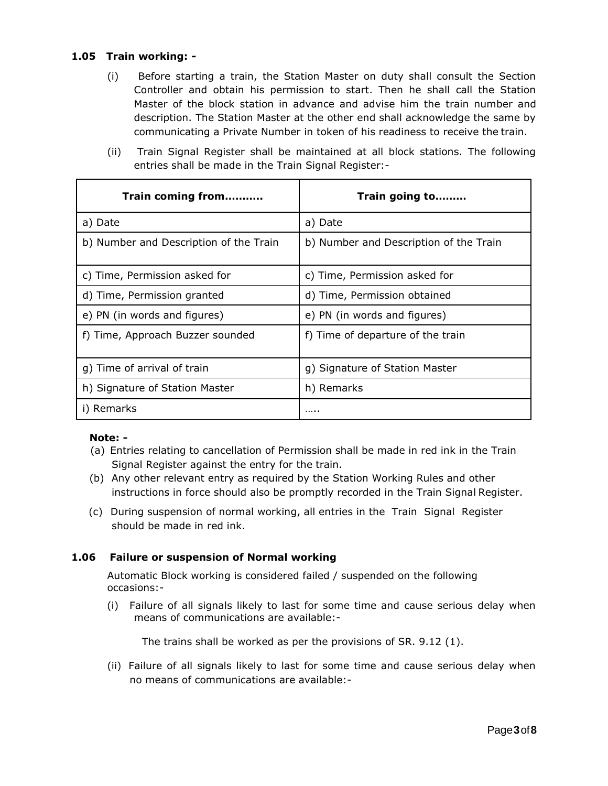## **1.05 Train working: -**

- (i) Before starting a train, the Station Master on duty shall consult the Section Controller and obtain his permission to start. Then he shall call the Station Master of the block station in advance and advise him the train number and description. The Station Master at the other end shall acknowledge the same by communicating a Private Number in token of his readiness to receive the train.
- (ii) Train Signal Register shall be maintained at all block stations. The following entries shall be made in the Train Signal Register:-

| Train coming from                      | Train going to                         |
|----------------------------------------|----------------------------------------|
| a) Date                                | a) Date                                |
| b) Number and Description of the Train | b) Number and Description of the Train |
| c) Time, Permission asked for          | c) Time, Permission asked for          |
| d) Time, Permission granted            | d) Time, Permission obtained           |
| e) PN (in words and figures)           | e) PN (in words and figures)           |
| f) Time, Approach Buzzer sounded       | f) Time of departure of the train      |
| g) Time of arrival of train            | g) Signature of Station Master         |
| h) Signature of Station Master         | h) Remarks                             |
| i) Remarks                             | .                                      |

### **Note: -**

- (a) Entries relating to cancellation of Permission shall be made in red ink in the Train Signal Register against the entry for the train.
- (b) Any other relevant entry as required by the Station Working Rules and other instructions in force should also be promptly recorded in the Train Signal Register.
- (c) During suspension of normal working, all entries in the Train Signal Register should be made in red ink.

### **1.06 Failure or suspension of Normal working**

Automatic Block working is considered failed / suspended on the following occasions:-

(i) Failure of all signals likely to last for some time and cause serious delay when means of communications are available:-

The trains shall be worked as per the provisions of SR. 9.12 (1).

(ii) Failure of all signals likely to last for some time and cause serious delay when no means of communications are available:-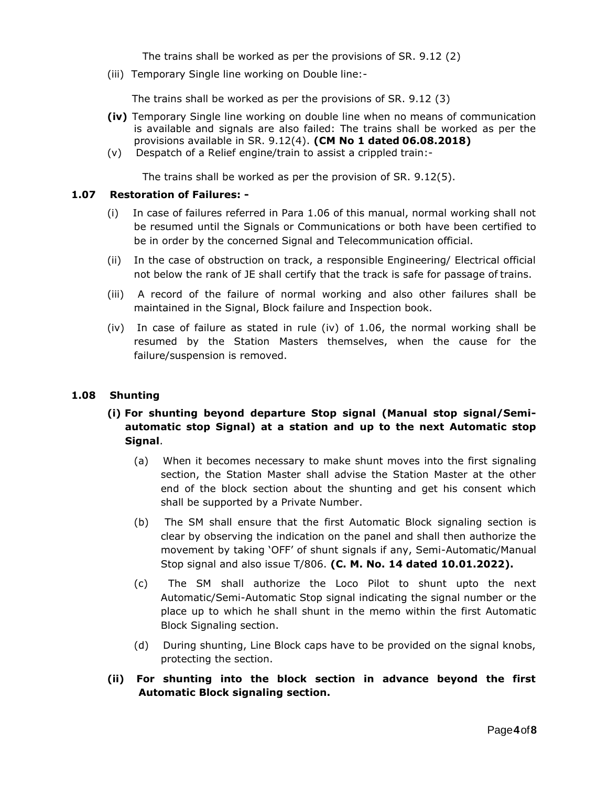The trains shall be worked as per the provisions of SR. 9.12 (2)

(iii) Temporary Single line working on Double line:-

The trains shall be worked as per the provisions of SR. 9.12 (3)

- **(iv)** Temporary Single line working on double line when no means of communication is available and signals are also failed: The trains shall be worked as per the provisions available in SR. 9.12(4). **(CM No 1 dated 06.08.2018)**
- (v) Despatch of a Relief engine/train to assist a crippled train:-

The trains shall be worked as per the provision of SR. 9.12(5).

#### **1.07 Restoration of Failures: -**

- (i) In case of failures referred in Para 1.06 of this manual, normal working shall not be resumed until the Signals or Communications or both have been certified to be in order by the concerned Signal and Telecommunication official.
- (ii) In the case of obstruction on track, a responsible Engineering/ Electrical official not below the rank of JE shall certify that the track is safe for passage of trains.
- (iii) A record of the failure of normal working and also other failures shall be maintained in the Signal, Block failure and Inspection book.
- (iv) In case of failure as stated in rule (iv) of 1.06, the normal working shall be resumed by the Station Masters themselves, when the cause for the failure/suspension is removed.

#### **1.08 Shunting**

- **(i) For shunting beyond departure Stop signal (Manual stop signal/Semiautomatic stop Signal) at a station and up to the next Automatic stop Signal**.
	- (a) When it becomes necessary to make shunt moves into the first signaling section, the Station Master shall advise the Station Master at the other end of the block section about the shunting and get his consent which shall be supported by a Private Number.
	- (b) The SM shall ensure that the first Automatic Block signaling section is clear by observing the indication on the panel and shall then authorize the movement by taking 'OFF' of shunt signals if any, Semi-Automatic/Manual Stop signal and also issue T/806. **(C. M. No. 14 dated 10.01.2022).**
	- (c) The SM shall authorize the Loco Pilot to shunt upto the next Automatic/Semi-Automatic Stop signal indicating the signal number or the place up to which he shall shunt in the memo within the first Automatic Block Signaling section.
	- (d) During shunting, Line Block caps have to be provided on the signal knobs, protecting the section.
- **(ii) For shunting into the block section in advance beyond the first Automatic Block signaling section.**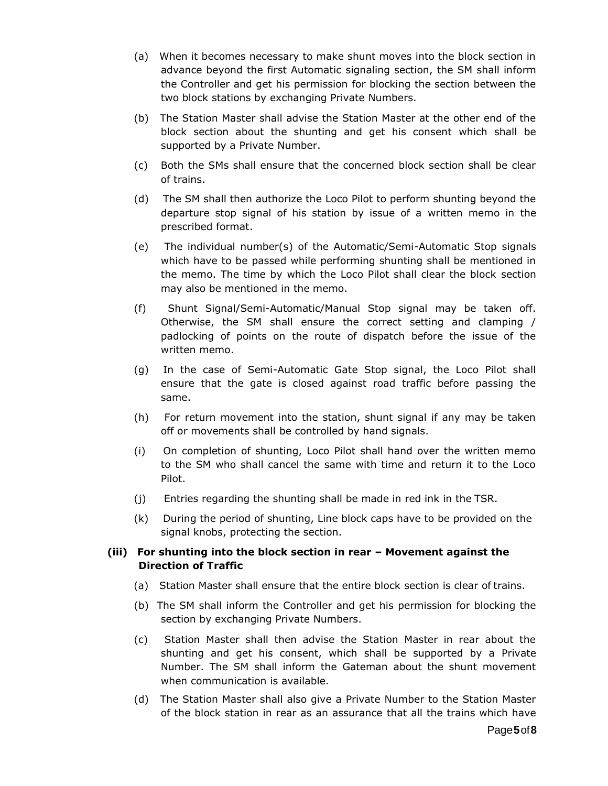- (a) When it becomes necessary to make shunt moves into the block section in advance beyond the first Automatic signaling section, the SM shall inform the Controller and get his permission for blocking the section between the two block stations by exchanging Private Numbers.
- (b) The Station Master shall advise the Station Master at the other end of the block section about the shunting and get his consent which shall be supported by a Private Number.
- (c) Both the SMs shall ensure that the concerned block section shall be clear of trains.
- (d) The SM shall then authorize the Loco Pilot to perform shunting beyond the departure stop signal of his station by issue of a written memo in the prescribed format.
- (e) The individual number(s) of the Automatic/Semi-Automatic Stop signals which have to be passed while performing shunting shall be mentioned in the memo. The time by which the Loco Pilot shall clear the block section may also be mentioned in the memo.
- (f) Shunt Signal/Semi-Automatic/Manual Stop signal may be taken off. Otherwise, the SM shall ensure the correct setting and clamping / padlocking of points on the route of dispatch before the issue of the written memo.
- (g) In the case of Semi-Automatic Gate Stop signal, the Loco Pilot shall ensure that the gate is closed against road traffic before passing the same.
- (h) For return movement into the station, shunt signal if any may be taken off or movements shall be controlled by hand signals.
- (i) On completion of shunting, Loco Pilot shall hand over the written memo to the SM who shall cancel the same with time and return it to the Loco Pilot.
- (j) Entries regarding the shunting shall be made in red ink in the TSR.
- (k) During the period of shunting, Line block caps have to be provided on the signal knobs, protecting the section.

## **(iii) For shunting into the block section in rear – Movement against the Direction of Traffic**

- (a) Station Master shall ensure that the entire block section is clear of trains.
- (b) The SM shall inform the Controller and get his permission for blocking the section by exchanging Private Numbers.
- (c) Station Master shall then advise the Station Master in rear about the shunting and get his consent, which shall be supported by a Private Number. The SM shall inform the Gateman about the shunt movement when communication is available.
- (d) The Station Master shall also give a Private Number to the Station Master of the block station in rear as an assurance that all the trains which have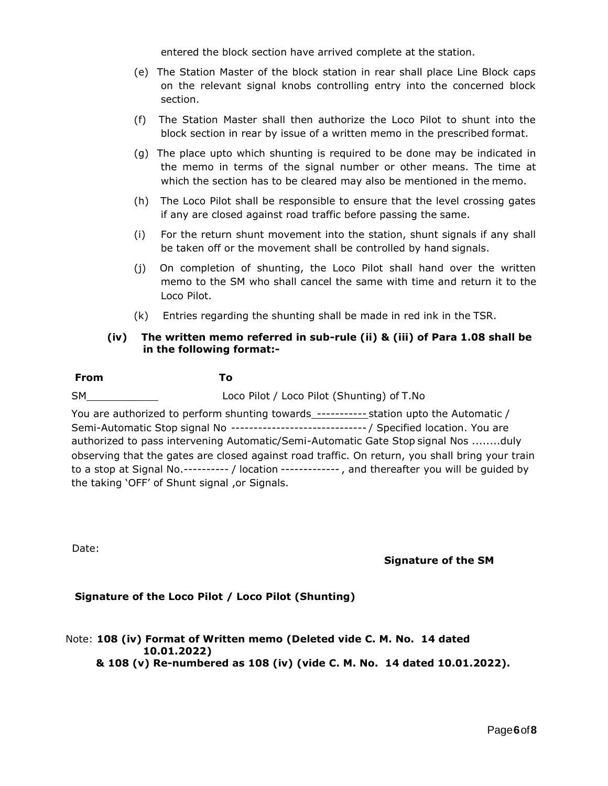entered the block section have arrived complete at the station.

- (e) The Station Master of the block station in rear shall place Line Block caps on the relevant signal knobs controlling entry into the concerned block section.
- (f) The Station Master shall then authorize the Loco Pilot to shunt into the block section in rear by issue of a written memo in the prescribed format.
- (g) The place upto which shunting is required to be done may be indicated in the memo in terms of the signal number or other means. The time at which the section has to be cleared may also be mentioned in the memo.
- (h) The Loco Pilot shall be responsible to ensure that the level crossing gates if any are closed against road traffic before passing the same.
- (i) For the return shunt movement into the station, shunt signals if any shall be taken off or the movement shall be controlled by hand signals.
- (j) On completion of shunting, the Loco Pilot shall hand over the written memo to the SM who shall cancel the same with time and return it to the Loco Pilot.
- (k) Entries regarding the shunting shall be made in red ink in the TSR.

### **(iv) The written memo referred in sub-rule (ii) & (iii) of Para 1.08 shall be in the following format:-**

| From | To |
|------|----|
|      |    |

SM Loco Pilot / Loco Pilot (Shunting) of T.No

You are authorized to perform shunting towards ----------- station upto the Automatic / Semi-Automatic Stop signal No ------------------------------ / Specified location. You are authorized to pass intervening Automatic/Semi-Automatic Gate Stop signal Nos ........duly observing that the gates are closed against road traffic. On return, you shall bring your train to a stop at Signal No.---------- / location ------------- , and thereafter you will be guided by the taking 'OFF' of Shunt signal ,or Signals.

Date:

**Signature of the SM**

# **Signature of the Loco Pilot / Loco Pilot (Shunting)**

## Note: **108 (iv) Format of Written memo (Deleted vide C. M. No. 14 dated 10.01.2022) & 108 (v) Re-numbered as 108 (iv) (vide C. M. No. 14 dated 10.01.2022).**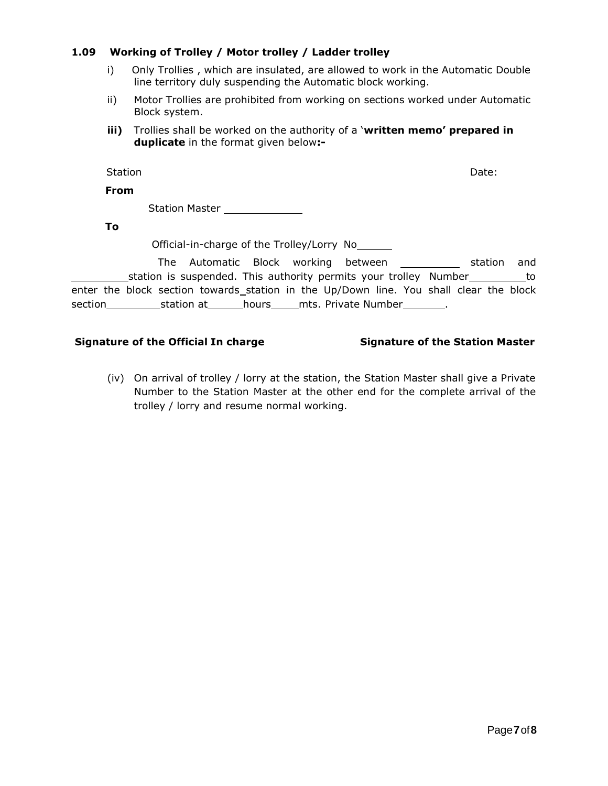## **1.09 Working of Trolley / Motor trolley / Ladder trolley**

- i) Only Trollies , which are insulated, are allowed to work in the Automatic Double line territory duly suspending the Automatic block working.
- ii) Motor Trollies are prohibited from working on sections worked under Automatic Block system.
- **iii)** Trollies shall be worked on the authority of a '**written memo' prepared in duplicate** in the format given below**:-**

Station Date:

**From**

Station Master \_\_\_\_\_\_

**To**

Official-in-charge of the Trolley/Lorry No

The Automatic Block working between station and station is suspended. This authority permits your trolley Number enter the block section towards station in the Up/Down line. You shall clear the block section station at hours mts. Private Number .

### **Signature of the Official In charge Signature of the Station Master**

(iv) On arrival of trolley / lorry at the station, the Station Master shall give a Private Number to the Station Master at the other end for the complete arrival of the trolley / lorry and resume normal working.